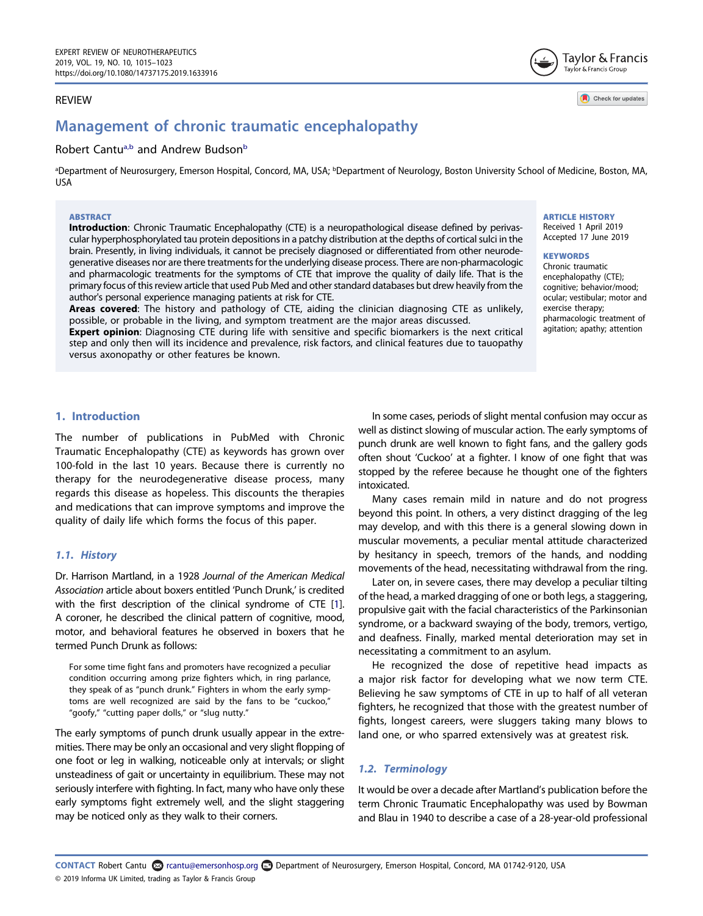# REVIEW

# Ro[b](#page-0-0)ert Cantu<sup>a,b</sup> and Andrew Budson<sup>b</sup>

<span id="page-0-0"></span>ªDepartment of Neurosurgery, Emerson Hospital, Concord, MA, USA; <sup>ь</sup>Department of Neurology, Boston University School of Medicine, Boston, MA, USA

#### ABSTRACT

Introduction: Chronic Traumatic Encephalopathy (CTE) is a neuropathological disease defined by perivascular hyperphosphorylated tau protein depositions in a patchy distribution at the depths of cortical sulci in the brain. Presently, in living individuals, it cannot be precisely diagnosed or differentiated from other neurodegenerative diseases nor are there treatments for the underlying disease process. There are non-pharmacologic and pharmacologic treatments for the symptoms of CTE that improve the quality of daily life. That is the primary focus of this review article that used Pub Med and other standard databases but drew heavily from the author's personal experience managing patients at risk for CTE.

Areas covered: The history and pathology of CTE, aiding the clinician diagnosing CTE as unlikely, possible, or probable in the living, and symptom treatment are the major areas discussed.

Expert opinion: Diagnosing CTE during life with sensitive and specific biomarkers is the next critical step and only then will its incidence and prevalence, risk factors, and clinical features due to tauopathy versus axonopathy or other features be known.

ARTICLE HISTORY

Received 1 April 2019 Accepted 17 June 2019

Taylor & Francis Taylor & Francis Group

Check for updates

#### **KEYWORDS**

Chronic traumatic encephalopathy (CTE); cognitive; behavior/mood; ocular; vestibular; motor and exercise therapy; pharmacologic treatment of agitation; apathy; attention

# 1. Introduction

The number of publications in PubMed with Chronic Traumatic Encephalopathy (CTE) as keywords has grown over 100-fold in the last 10 years. Because there is currently no therapy for the neurodegenerative disease process, many regards this disease as hopeless. This discounts the therapies and medications that can improve symptoms and improve the quality of daily life which forms the focus of this paper.

# 1.1. History

<span id="page-0-1"></span>Dr. Harrison Martland, in a 1928 Journal of the American Medical Association article about boxers entitled 'Punch Drunk,' is credited with the first description of the clinical syndrome of CTE [[1](#page-7-0)]. A coroner, he described the clinical pattern of cognitive, mood, motor, and behavioral features he observed in boxers that he termed Punch Drunk as follows:

For some time fight fans and promoters have recognized a peculiar condition occurring among prize fighters which, in ring parlance, they speak of as "punch drunk." Fighters in whom the early symptoms are well recognized are said by the fans to be "cuckoo," "goofy," "cutting paper dolls," or "slug nutty."

The early symptoms of punch drunk usually appear in the extremities. There may be only an occasional and very slight flopping of one foot or leg in walking, noticeable only at intervals; or slight unsteadiness of gait or uncertainty in equilibrium. These may not seriously interfere with fighting. In fact, many who have only these early symptoms fight extremely well, and the slight staggering may be noticed only as they walk to their corners.

In some cases, periods of slight mental confusion may occur as well as distinct slowing of muscular action. The early symptoms of punch drunk are well known to fight fans, and the gallery gods often shout 'Cuckoo' at a fighter. I know of one fight that was stopped by the referee because he thought one of the fighters intoxicated.

Many cases remain mild in nature and do not progress beyond this point. In others, a very distinct dragging of the leg may develop, and with this there is a general slowing down in muscular movements, a peculiar mental attitude characterized by hesitancy in speech, tremors of the hands, and nodding movements of the head, necessitating withdrawal from the ring.

Later on, in severe cases, there may develop a peculiar tilting of the head, a marked dragging of one or both legs, a staggering, propulsive gait with the facial characteristics of the Parkinsonian syndrome, or a backward swaying of the body, tremors, vertigo, and deafness. Finally, marked mental deterioration may set in necessitating a commitment to an asylum.

He recognized the dose of repetitive head impacts as a major risk factor for developing what we now term CTE. Believing he saw symptoms of CTE in up to half of all veteran fighters, he recognized that those with the greatest number of fights, longest careers, were sluggers taking many blows to land one, or who sparred extensively was at greatest risk.

# 1.2. Terminology

It would be over a decade after Martland's publication before the term Chronic Traumatic Encephalopathy was used by Bowman and Blau in 1940 to describe a case of a 28-year-old professional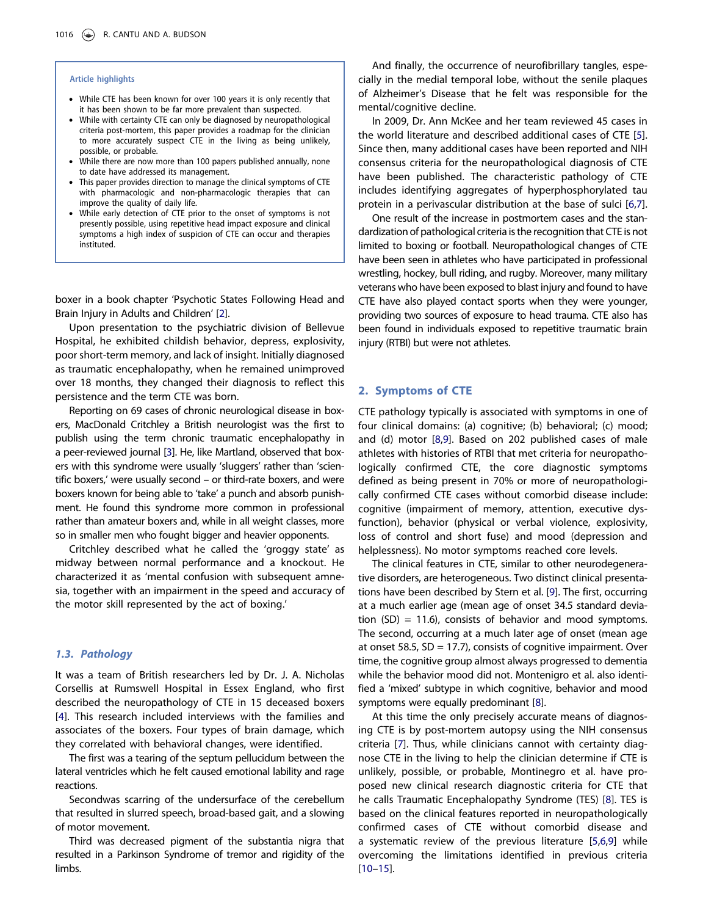#### Article highlights

- While CTE has been known for over 100 years it is only recently that it has been shown to be far more prevalent than suspected.
- While with certainty CTE can only be diagnosed by neuropathological criteria post-mortem, this paper provides a roadmap for the clinician to more accurately suspect CTE in the living as being unlikely, possible, or probable.
- While there are now more than 100 papers published annually, none to date have addressed its management.
- This paper provides direction to manage the clinical symptoms of CTE with pharmacologic and non-pharmacologic therapies that can improve the quality of daily life.
- While early detection of CTE prior to the onset of symptoms is not presently possible, using repetitive head impact exposure and clinical symptoms a high index of suspicion of CTE can occur and therapies instituted.

<span id="page-1-0"></span>boxer in a book chapter 'Psychotic States Following Head and Brain Injury in Adults and Children' [\[2\]](#page-7-1).

Upon presentation to the psychiatric division of Bellevue Hospital, he exhibited childish behavior, depress, explosivity, poor short-term memory, and lack of insight. Initially diagnosed as traumatic encephalopathy, when he remained unimproved over 18 months, they changed their diagnosis to reflect this persistence and the term CTE was born.

<span id="page-1-1"></span>Reporting on 69 cases of chronic neurological disease in boxers, MacDonald Critchley a British neurologist was the first to publish using the term chronic traumatic encephalopathy in a peer-reviewed journal [\[3](#page-8-0)]. He, like Martland, observed that boxers with this syndrome were usually 'sluggers' rather than 'scientific boxers,' were usually second – or third-rate boxers, and were boxers known for being able to 'take' a punch and absorb punishment. He found this syndrome more common in professional rather than amateur boxers and, while in all weight classes, more so in smaller men who fought bigger and heavier opponents.

Critchley described what he called the 'groggy state' as midway between normal performance and a knockout. He characterized it as 'mental confusion with subsequent amnesia, together with an impairment in the speed and accuracy of the motor skill represented by the act of boxing.'

#### 1.3. Pathology

<span id="page-1-2"></span>It was a team of British researchers led by Dr. J. A. Nicholas Corsellis at Rumswell Hospital in Essex England, who first described the neuropathology of CTE in 15 deceased boxers [[4\]](#page-8-1). This research included interviews with the families and associates of the boxers. Four types of brain damage, which they correlated with behavioral changes, were identified.

The first was a tearing of the septum pellucidum between the lateral ventricles which he felt caused emotional lability and rage reactions.

Secondwas scarring of the undersurface of the cerebellum that resulted in slurred speech, broad-based gait, and a slowing of motor movement.

Third was decreased pigment of the substantia nigra that resulted in a Parkinson Syndrome of tremor and rigidity of the limbs.

And finally, the occurrence of neurofibrillary tangles, especially in the medial temporal lobe, without the senile plaques of Alzheimer's Disease that he felt was responsible for the mental/cognitive decline.

In 2009, Dr. Ann McKee and her team reviewed 45 cases in the world literature and described additional cases of CTE [[5\]](#page-8-2). Since then, many additional cases have been reported and NIH consensus criteria for the neuropathological diagnosis of CTE have been published. The characteristic pathology of CTE includes identifying aggregates of hyperphosphorylated tau protein in a perivascular distribution at the base of sulci [\[6,](#page-8-3)[7\]](#page-8-4).

One result of the increase in postmortem cases and the standardization of pathological criteria is the recognition that CTE is not limited to boxing or football. Neuropathological changes of CTE have been seen in athletes who have participated in professional wrestling, hockey, bull riding, and rugby. Moreover, many military veterans who have been exposed to blast injury and found to have CTE have also played contact sports when they were younger, providing two sources of exposure to head trauma. CTE also has been found in individuals exposed to repetitive traumatic brain injury (RTBI) but were not athletes.

#### 2. Symptoms of CTE

CTE pathology typically is associated with symptoms in one of four clinical domains: (a) cognitive; (b) behavioral; (c) mood; and (d) motor [\[8](#page-8-5)[,9\]](#page-8-6). Based on 202 published cases of male athletes with histories of RTBI that met criteria for neuropathologically confirmed CTE, the core diagnostic symptoms defined as being present in 70% or more of neuropathologically confirmed CTE cases without comorbid disease include: cognitive (impairment of memory, attention, executive dysfunction), behavior (physical or verbal violence, explosivity, loss of control and short fuse) and mood (depression and helplessness). No motor symptoms reached core levels.

The clinical features in CTE, similar to other neurodegenerative disorders, are heterogeneous. Two distinct clinical presentations have been described by Stern et al. [\[9](#page-8-6)]. The first, occurring at a much earlier age (mean age of onset 34.5 standard deviation  $(SD) = 11.6$ , consists of behavior and mood symptoms. The second, occurring at a much later age of onset (mean age at onset 58.5, SD = 17.7), consists of cognitive impairment. Over time, the cognitive group almost always progressed to dementia while the behavior mood did not. Montenigro et al. also identified a 'mixed' subtype in which cognitive, behavior and mood symptoms were equally predominant [\[8](#page-8-5)].

<span id="page-1-6"></span><span id="page-1-5"></span><span id="page-1-4"></span><span id="page-1-3"></span>At this time the only precisely accurate means of diagnosing CTE is by post-mortem autopsy using the NIH consensus criteria [[7\]](#page-8-4). Thus, while clinicians cannot with certainty diagnose CTE in the living to help the clinician determine if CTE is unlikely, possible, or probable, Montinegro et al. have proposed new clinical research diagnostic criteria for CTE that he calls Traumatic Encephalopathy Syndrome (TES) [\[8](#page-8-5)]. TES is based on the clinical features reported in neuropathologically confirmed cases of CTE without comorbid disease and a systematic review of the previous literature [[5,](#page-8-2)[6](#page-8-3)[,9](#page-8-6)] while overcoming the limitations identified in previous criteria [\[10](#page-8-7)–[15\]](#page-8-8).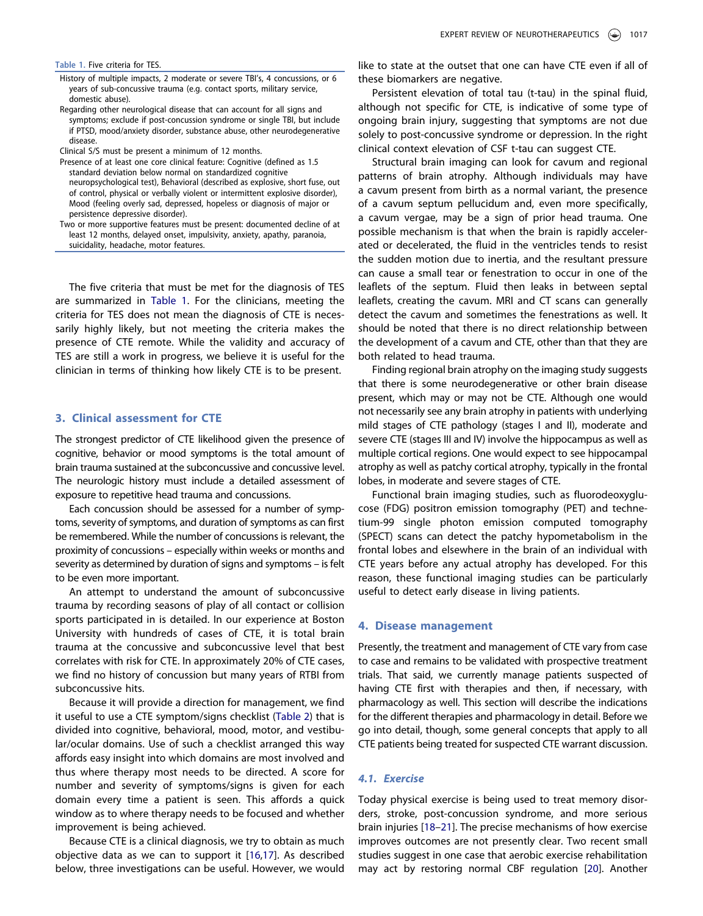#### <span id="page-2-0"></span>Table 1. Five criteria for TES.

- History of multiple impacts, 2 moderate or severe TBI's, 4 concussions, or 6 years of sub-concussive trauma (e.g. contact sports, military service, domestic abuse).
- Regarding other neurological disease that can account for all signs and symptoms; exclude if post-concussion syndrome or single TBI, but include if PTSD, mood/anxiety disorder, substance abuse, other neurodegenerative disease.
- Clinical S/S must be present a minimum of 12 months.
- Presence of at least one core clinical feature: Cognitive (defined as 1.5 standard deviation below normal on standardized cognitive neuropsychological test), Behavioral (described as explosive, short fuse, out of control, physical or verbally violent or intermittent explosive disorder), Mood (feeling overly sad, depressed, hopeless or diagnosis of major or persistence depressive disorder).
- Two or more supportive features must be present: documented decline of at least 12 months, delayed onset, impulsivity, anxiety, apathy, paranoia, suicidality, headache, motor features.

The five criteria that must be met for the diagnosis of TES are summarized in [Table 1](#page-2-0). For the clinicians, meeting the criteria for TES does not mean the diagnosis of CTE is necessarily highly likely, but not meeting the criteria makes the presence of CTE remote. While the validity and accuracy of TES are still a work in progress, we believe it is useful for the clinician in terms of thinking how likely CTE is to be present.

#### 3. Clinical assessment for CTE

The strongest predictor of CTE likelihood given the presence of cognitive, behavior or mood symptoms is the total amount of brain trauma sustained at the subconcussive and concussive level. The neurologic history must include a detailed assessment of exposure to repetitive head trauma and concussions.

Each concussion should be assessed for a number of symptoms, severity of symptoms, and duration of symptoms as can first be remembered. While the number of concussions is relevant, the proximity of concussions – especially within weeks or months and severity as determined by duration of signs and symptoms – is felt to be even more important.

An attempt to understand the amount of subconcussive trauma by recording seasons of play of all contact or collision sports participated in is detailed. In our experience at Boston University with hundreds of cases of CTE, it is total brain trauma at the concussive and subconcussive level that best correlates with risk for CTE. In approximately 20% of CTE cases, we find no history of concussion but many years of RTBI from subconcussive hits.

Because it will provide a direction for management, we find it useful to use a CTE symptom/signs checklist [\(Table 2](#page-3-0)) that is divided into cognitive, behavioral, mood, motor, and vestibular/ocular domains. Use of such a checklist arranged this way affords easy insight into which domains are most involved and thus where therapy most needs to be directed. A score for number and severity of symptoms/signs is given for each domain every time a patient is seen. This affords a quick window as to where therapy needs to be focused and whether improvement is being achieved.

<span id="page-2-1"></span>Because CTE is a clinical diagnosis, we try to obtain as much objective data as we can to support it [\[16,](#page-8-9)[17\]](#page-8-10). As described below, three investigations can be useful. However, we would

like to state at the outset that one can have CTE even if all of these biomarkers are negative.

Persistent elevation of total tau (t-tau) in the spinal fluid, although not specific for CTE, is indicative of some type of ongoing brain injury, suggesting that symptoms are not due solely to post-concussive syndrome or depression. In the right clinical context elevation of CSF t-tau can suggest CTE.

Structural brain imaging can look for cavum and regional patterns of brain atrophy. Although individuals may have a cavum present from birth as a normal variant, the presence of a cavum septum pellucidum and, even more specifically, a cavum vergae, may be a sign of prior head trauma. One possible mechanism is that when the brain is rapidly accelerated or decelerated, the fluid in the ventricles tends to resist the sudden motion due to inertia, and the resultant pressure can cause a small tear or fenestration to occur in one of the leaflets of the septum. Fluid then leaks in between septal leaflets, creating the cavum. MRI and CT scans can generally detect the cavum and sometimes the fenestrations as well. It should be noted that there is no direct relationship between the development of a cavum and CTE, other than that they are both related to head trauma.

Finding regional brain atrophy on the imaging study suggests that there is some neurodegenerative or other brain disease present, which may or may not be CTE. Although one would not necessarily see any brain atrophy in patients with underlying mild stages of CTE pathology (stages I and II), moderate and severe CTE (stages III and IV) involve the hippocampus as well as multiple cortical regions. One would expect to see hippocampal atrophy as well as patchy cortical atrophy, typically in the frontal lobes, in moderate and severe stages of CTE.

Functional brain imaging studies, such as fluorodeoxyglucose (FDG) positron emission tomography (PET) and technetium-99 single photon emission computed tomography (SPECT) scans can detect the patchy hypometabolism in the frontal lobes and elsewhere in the brain of an individual with CTE years before any actual atrophy has developed. For this reason, these functional imaging studies can be particularly useful to detect early disease in living patients.

#### 4. Disease management

Presently, the treatment and management of CTE vary from case to case and remains to be validated with prospective treatment trials. That said, we currently manage patients suspected of having CTE first with therapies and then, if necessary, with pharmacology as well. This section will describe the indications for the different therapies and pharmacology in detail. Before we go into detail, though, some general concepts that apply to all CTE patients being treated for suspected CTE warrant discussion.

# 4.1. Exercise

<span id="page-2-3"></span><span id="page-2-2"></span>Today physical exercise is being used to treat memory disorders, stroke, post-concussion syndrome, and more serious brain injuries [[18](#page-8-11)–[21\]](#page-8-12). The precise mechanisms of how exercise improves outcomes are not presently clear. Two recent small studies suggest in one case that aerobic exercise rehabilitation may act by restoring normal CBF regulation [\[20\]](#page-8-13). Another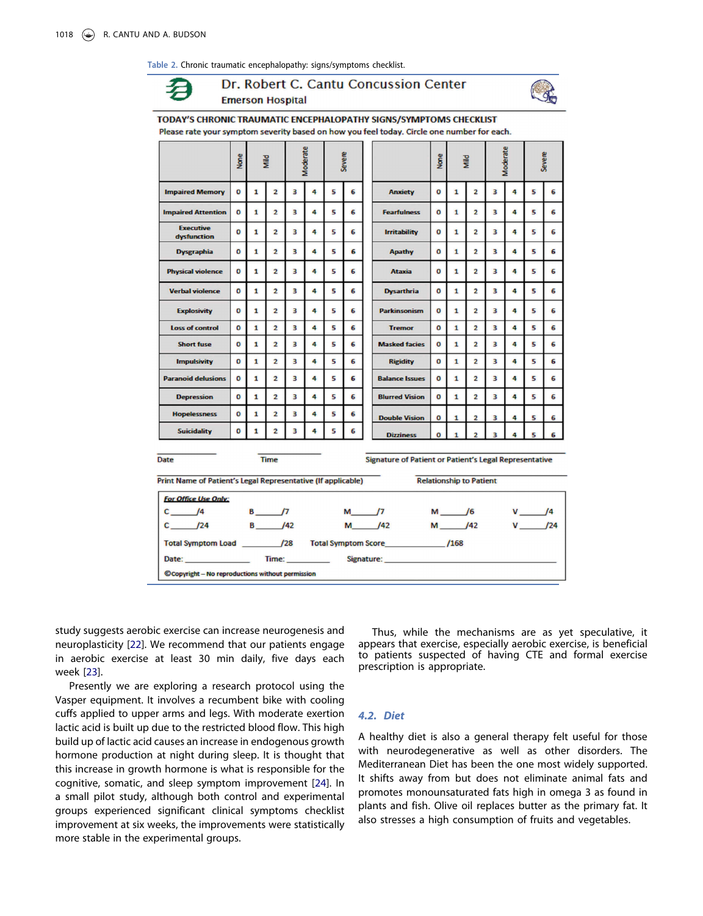<span id="page-3-0"></span>Table 2. Chronic traumatic encephalopathy: signs/symptoms checklist.

# Dr. Robert C. Cantu Concussion Center **Emerson Hospital**



Please rate your symptom severity based on how you feel today. Circle one number for each. **Moderate** Severe Severe **Sex**  $\frac{1}{2}$ None **Sil** Modera **Impaired Memory**  $\mathbf 0$  $\mathbf{1}$  $\overline{2}$ 3 4 5 6 **Anxiety**  $\overline{0}$  $\mathbf{1}$  $\overline{2}$  $\overline{\mathbf{3}}$ 4 5 6  $\overline{a}$  $\overline{2}$  $\overline{a}$  $\overline{a}$  $\mathbf{r}$ **F n**  $\overline{1}$  $\overline{2}$  $\overline{a}$ k, k. **Impaired Attention**  $\overline{1}$ Foarfulnoss  $\overline{a}$ **Executive**  $\mathbf{o}$  $\mathbf{1}$  $\overline{2}$ 3 4 5 6 Irritability  $\overline{\mathbf{o}}$  $\mathbf{1}$  $\overline{2}$ 3 4 5 6 dysfunction  $\mathbf{a}$  $\mathbf{1}$  $\overline{2}$ ą, 4  $\overline{\mathbf{5}}$  $\epsilon$ O  $\mathbf{1}$  $\overline{2}$  $\overline{a}$  $\overline{a}$ t, 6 **Dysgraphia** Anathy **Physical violence**  $\mathbf{0}$  $\mathbf{1}$  $\overline{2}$ ä 4 5 6 **Ataxia**  $\overline{0}$  $\mathbf{1}$  $\overline{2}$  $\overline{3}$ 4 5 6 **Verbal violence**  $\overline{a}$  $\overline{2}$ 3 4 5  $\epsilon$ o  $\mathbf{1}$  $\overline{2}$  $\overline{a}$ 5 6  $\mathbf{1}$ **Dysarthria**  $\overline{a}$ Explosivity  $\Omega$  $\mathbf{1}$  $\overline{2}$  $\overline{3}$ 4 5 6 Parkinsonism O  $\mathbf{1}$  $\overline{2}$  $\overline{\mathbf{3}}$ 4 5 6 **Loss of control**  $\overline{0}$  $\overline{\mathbf{1}}$  $\overline{2}$ 3 4 5 6 o 1  $\overline{\mathbf{2}}$  $\overline{\mathbf{3}}$ 4 5 6 **Tremor** 6  $\overline{2}$ 3 4 5  $\overline{2}$ 5 **Short fuse**  $\mathbf{0}$  $\mathbf{1}$ 6 **Masked facies** O  $\mathbf{1}$ 3 4 **Impulsivity**  $\mathbf{0}$  $\overline{2}$ 3 4 5 6 o  $\mathbf{1}$  $\overline{2}$ 3 4 5 6  $\mathbf{1}$ **Rigidity Paranoid delusions**  $\mathbf 0$ 1  $\overline{2}$ 3 4 5 6  $\mathbf 0$  $\mathbf{1}$  $\overline{2}$  $\overline{3}$ 4 5 6 **Balance Issues Depression**  $\mathbf 0$ 1  $\overline{\mathbf{2}}$ 3 4 5 6 **Blurred Vision** o 1  $\overline{\mathbf{2}}$  $\overline{\mathbf{3}}$ 4 5 6 Honelessness  $\Omega$  $\mathbf{I}$  $\overline{2}$  $\overline{\mathbf{a}}$  $\overline{a}$  $\overline{\mathbf{g}}$ 6 **Double Vision** n ŕ. **Suicidality**  $\mathbf 0$  $\mathbf{1}$  $\overline{2}$ 3 4 5 6  $\Omega$ **Dizziness** Date Signature of Patient or Patient's Legal Representative Time Print Name of Patient's Legal Representative (If applicable) **Relationship to Patient For Office Use Only:**  $\sqrt{4}$  $\sqrt{4}$  $\sqrt{7}$  $17$  $16$ C  $\mathbf{B}$ M  $\frac{1}{42}$  $142$ C  $124$ B M **M**  $142$  $124$ **Total Symptom Load**  $/28$ **Total Symptom Score**  $/168$ Date: Time: Signature: Copyright - No reproductions without permission

TODAY'S CHRONIC TRAUMATIC ENCEPHALOPATHY SIGNS/SYMPTOMS CHECKLIST

<span id="page-3-1"></span>study suggests aerobic exercise can increase neurogenesis and neuroplasticity [[22\]](#page-8-14). We recommend that our patients engage in aerobic exercise at least 30 min daily, five days each week [[23\]](#page-8-15).

<span id="page-3-3"></span><span id="page-3-2"></span>Presently we are exploring a research protocol using the Vasper equipment. It involves a recumbent bike with cooling cuffs applied to upper arms and legs. With moderate exertion lactic acid is built up due to the restricted blood flow. This high build up of lactic acid causes an increase in endogenous growth hormone production at night during sleep. It is thought that this increase in growth hormone is what is responsible for the cognitive, somatic, and sleep symptom improvement [\[24\]](#page-8-16). In a small pilot study, although both control and experimental groups experienced significant clinical symptoms checklist improvement at six weeks, the improvements were statistically more stable in the experimental groups.

Thus, while the mechanisms are as yet speculative, it appears that exercise, especially aerobic exercise, is beneficial to patients suspected of having CTE and formal exercise prescription is appropriate.

#### 4.2. Diet

A healthy diet is also a general therapy felt useful for those with neurodegenerative as well as other disorders. The Mediterranean Diet has been the one most widely supported. It shifts away from but does not eliminate animal fats and promotes monounsaturated fats high in omega 3 as found in plants and fish. Olive oil replaces butter as the primary fat. It also stresses a high consumption of fruits and vegetables.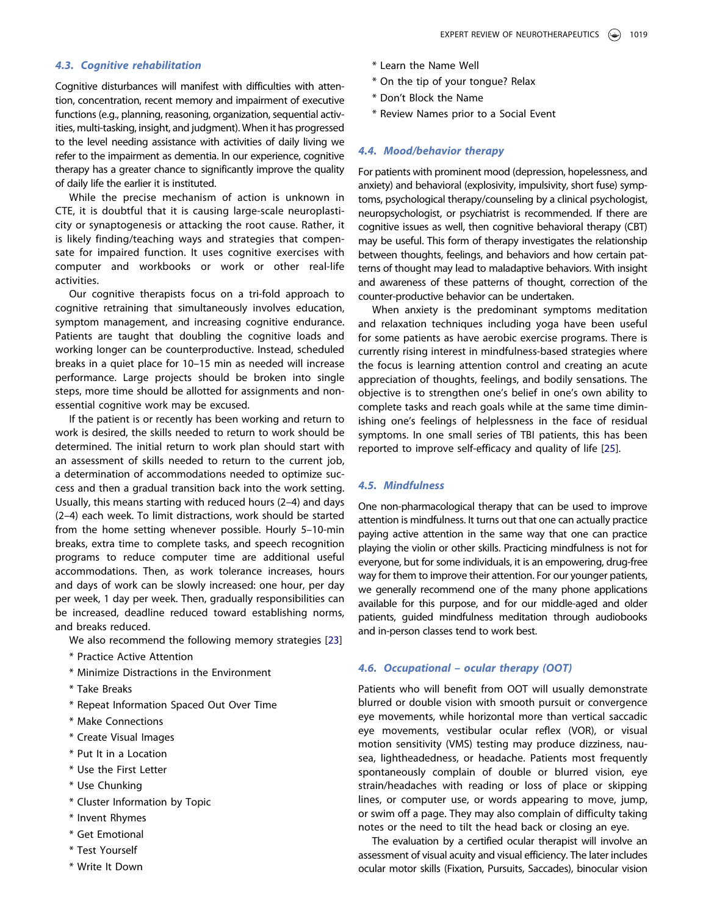# 4.3. Cognitive rehabilitation

Cognitive disturbances will manifest with difficulties with attention, concentration, recent memory and impairment of executive functions (e.g., planning, reasoning, organization, sequential activities, multi-tasking, insight, and judgment). When it has progressed to the level needing assistance with activities of daily living we refer to the impairment as dementia. In our experience, cognitive therapy has a greater chance to significantly improve the quality of daily life the earlier it is instituted.

While the precise mechanism of action is unknown in CTE, it is doubtful that it is causing large-scale neuroplasticity or synaptogenesis or attacking the root cause. Rather, it is likely finding/teaching ways and strategies that compensate for impaired function. It uses cognitive exercises with computer and workbooks or work or other real-life activities.

Our cognitive therapists focus on a tri-fold approach to cognitive retraining that simultaneously involves education, symptom management, and increasing cognitive endurance. Patients are taught that doubling the cognitive loads and working longer can be counterproductive. Instead, scheduled breaks in a quiet place for 10–15 min as needed will increase performance. Large projects should be broken into single steps, more time should be allotted for assignments and nonessential cognitive work may be excused.

If the patient is or recently has been working and return to work is desired, the skills needed to return to work should be determined. The initial return to work plan should start with an assessment of skills needed to return to the current job, a determination of accommodations needed to optimize success and then a gradual transition back into the work setting. Usually, this means starting with reduced hours (2–4) and days (2–4) each week. To limit distractions, work should be started from the home setting whenever possible. Hourly 5–10-min breaks, extra time to complete tasks, and speech recognition programs to reduce computer time are additional useful accommodations. Then, as work tolerance increases, hours and days of work can be slowly increased: one hour, per day per week, 1 day per week. Then, gradually responsibilities can be increased, deadline reduced toward establishing norms, and breaks reduced.

We also recommend the following memory strategies [\[23](#page-8-15)]

- \* Practice Active Attention
- \* Minimize Distractions in the Environment
- \* Take Breaks
- \* Repeat Information Spaced Out Over Time
- \* Make Connections
- \* Create Visual Images
- \* Put It in a Location
- \* Use the First Letter
- \* Use Chunking
- \* Cluster Information by Topic
- \* Invent Rhymes
- \* Get Emotional
- \* Test Yourself
- \* Write It Down
- \* Learn the Name Well
- \* On the tip of your tongue? Relax
- \* Don't Block the Name
- \* Review Names prior to a Social Event

#### 4.4. Mood/behavior therapy

For patients with prominent mood (depression, hopelessness, and anxiety) and behavioral (explosivity, impulsivity, short fuse) symptoms, psychological therapy/counseling by a clinical psychologist, neuropsychologist, or psychiatrist is recommended. If there are cognitive issues as well, then cognitive behavioral therapy (CBT) may be useful. This form of therapy investigates the relationship between thoughts, feelings, and behaviors and how certain patterns of thought may lead to maladaptive behaviors. With insight and awareness of these patterns of thought, correction of the counter-productive behavior can be undertaken.

When anxiety is the predominant symptoms meditation and relaxation techniques including yoga have been useful for some patients as have aerobic exercise programs. There is currently rising interest in mindfulness-based strategies where the focus is learning attention control and creating an acute appreciation of thoughts, feelings, and bodily sensations. The objective is to strengthen one's belief in one's own ability to complete tasks and reach goals while at the same time diminishing one's feelings of helplessness in the face of residual symptoms. In one small series of TBI patients, this has been reported to improve self-efficacy and quality of life [[25\]](#page-8-17).

# <span id="page-4-0"></span>4.5. Mindfulness

One non-pharmacological therapy that can be used to improve attention is mindfulness. It turns out that one can actually practice paying active attention in the same way that one can practice playing the violin or other skills. Practicing mindfulness is not for everyone, but for some individuals, it is an empowering, drug-free way for them to improve their attention. For our younger patients, we generally recommend one of the many phone applications available for this purpose, and for our middle-aged and older patients, guided mindfulness meditation through audiobooks and in-person classes tend to work best.

### 4.6. Occupational – ocular therapy (OOT)

Patients who will benefit from OOT will usually demonstrate blurred or double vision with smooth pursuit or convergence eye movements, while horizontal more than vertical saccadic eye movements, vestibular ocular reflex (VOR), or visual motion sensitivity (VMS) testing may produce dizziness, nausea, lightheadedness, or headache. Patients most frequently spontaneously complain of double or blurred vision, eye strain/headaches with reading or loss of place or skipping lines, or computer use, or words appearing to move, jump, or swim off a page. They may also complain of difficulty taking notes or the need to tilt the head back or closing an eye.

The evaluation by a certified ocular therapist will involve an assessment of visual acuity and visual efficiency. The later includes ocular motor skills (Fixation, Pursuits, Saccades), binocular vision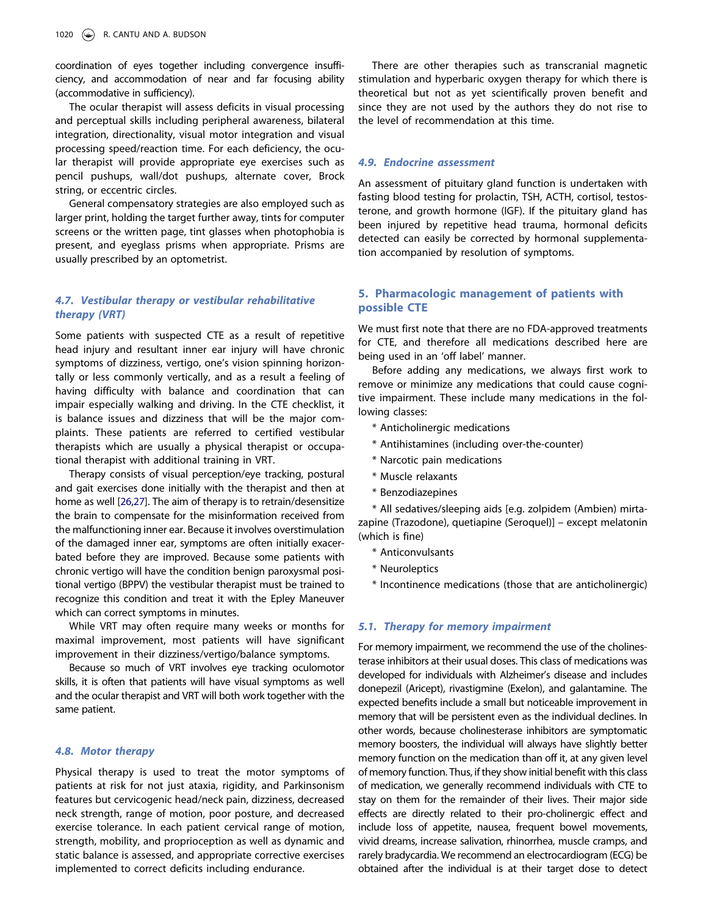coordination of eyes together including convergence insufficiency, and accommodation of near and far focusing ability (accommodative in sufficiency).

The ocular therapist will assess deficits in visual processing and perceptual skills including peripheral awareness, bilateral integration, directionality, visual motor integration and visual processing speed/reaction time. For each deficiency, the ocular therapist will provide appropriate eye exercises such as pencil pushups, wall/dot pushups, alternate cover, Brock string, or eccentric circles.

General compensatory strategies are also employed such as larger print, holding the target further away, tints for computer screens or the written page, tint glasses when photophobia is present, and eyeglass prisms when appropriate. Prisms are usually prescribed by an optometrist.

# 4.7. Vestibular therapy or vestibular rehabilitative therapy (VRT)

Some patients with suspected CTE as a result of repetitive head injury and resultant inner ear injury will have chronic symptoms of dizziness, vertigo, one's vision spinning horizontally or less commonly vertically, and as a result a feeling of having difficulty with balance and coordination that can impair especially walking and driving. In the CTE checklist, it is balance issues and dizziness that will be the major complaints. These patients are referred to certified vestibular therapists which are usually a physical therapist or occupational therapist with additional training in VRT.

<span id="page-5-0"></span>Therapy consists of visual perception/eye tracking, postural and gait exercises done initially with the therapist and then at home as well [\[26,](#page-8-18)[27](#page-8-19)]. The aim of therapy is to retrain/desensitize the brain to compensate for the misinformation received from the malfunctioning inner ear. Because it involves overstimulation of the damaged inner ear, symptoms are often initially exacerbated before they are improved. Because some patients with chronic vertigo will have the condition benign paroxysmal positional vertigo (BPPV) the vestibular therapist must be trained to recognize this condition and treat it with the Epley Maneuver which can correct symptoms in minutes.

While VRT may often require many weeks or months for maximal improvement, most patients will have significant improvement in their dizziness/vertigo/balance symptoms.

Because so much of VRT involves eye tracking oculomotor skills, it is often that patients will have visual symptoms as well and the ocular therapist and VRT will both work together with the same patient.

# 4.8. Motor therapy

Physical therapy is used to treat the motor symptoms of patients at risk for not just ataxia, rigidity, and Parkinsonism features but cervicogenic head/neck pain, dizziness, decreased neck strength, range of motion, poor posture, and decreased exercise tolerance. In each patient cervical range of motion, strength, mobility, and proprioception as well as dynamic and static balance is assessed, and appropriate corrective exercises implemented to correct deficits including endurance.

There are other therapies such as transcranial magnetic stimulation and hyperbaric oxygen therapy for which there is theoretical but not as yet scientifically proven benefit and since they are not used by the authors they do not rise to the level of recommendation at this time.

#### 4.9. Endocrine assessment

An assessment of pituitary gland function is undertaken with fasting blood testing for prolactin, TSH, ACTH, cortisol, testosterone, and growth hormone (IGF). If the pituitary gland has been injured by repetitive head trauma, hormonal deficits detected can easily be corrected by hormonal supplementation accompanied by resolution of symptoms.

# 5. Pharmacologic management of patients with possible CTE

We must first note that there are no FDA-approved treatments for CTE, and therefore all medications described here are being used in an 'off label' manner.

Before adding any medications, we always first work to remove or minimize any medications that could cause cognitive impairment. These include many medications in the following classes:

- \* Anticholinergic medications
- \* Antihistamines (including over-the-counter)
- \* Narcotic pain medications
- \* Muscle relaxants
- \* Benzodiazepines

\* All sedatives/sleeping aids [e.g. zolpidem (Ambien) mirtazapine (Trazodone), quetiapine (Seroquel)] – except melatonin (which is fine)

- \* Anticonvulsants
- \* Neuroleptics
- \* Incontinence medications (those that are anticholinergic)

# 5.1. Therapy for memory impairment

For memory impairment, we recommend the use of the cholinesterase inhibitors at their usual doses. This class of medications was developed for individuals with Alzheimer's disease and includes donepezil (Aricept), rivastigmine (Exelon), and galantamine. The expected benefits include a small but noticeable improvement in memory that will be persistent even as the individual declines. In other words, because cholinesterase inhibitors are symptomatic memory boosters, the individual will always have slightly better memory function on the medication than off it, at any given level of memory function. Thus, if they show initial benefit with this class of medication, we generally recommend individuals with CTE to stay on them for the remainder of their lives. Their major side effects are directly related to their pro-cholinergic effect and include loss of appetite, nausea, frequent bowel movements, vivid dreams, increase salivation, rhinorrhea, muscle cramps, and rarely bradycardia. We recommend an electrocardiogram (ECG) be obtained after the individual is at their target dose to detect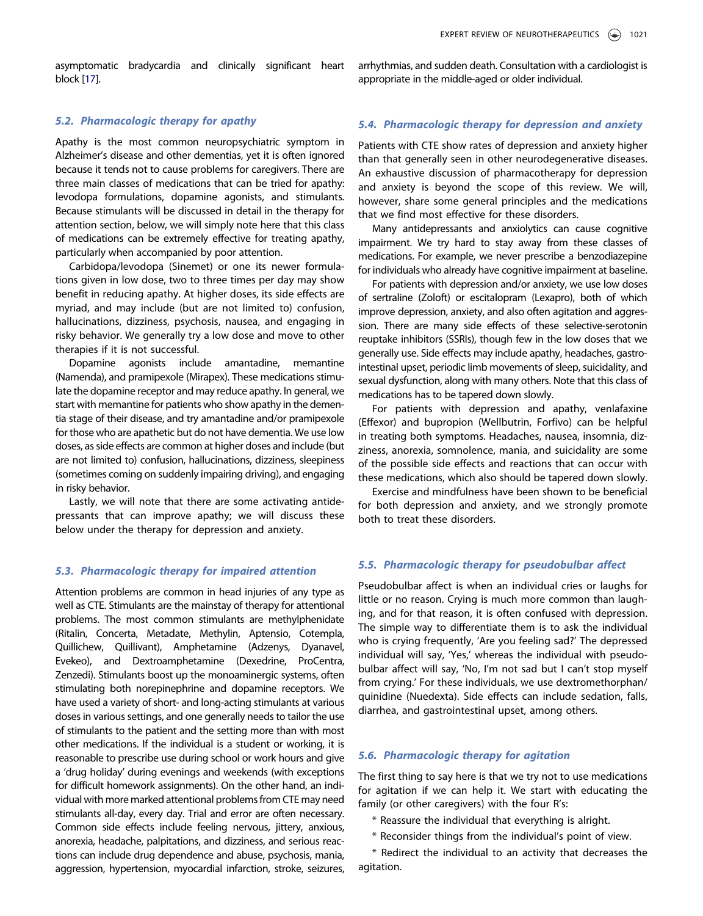asymptomatic bradycardia and clinically significant heart block [[17\]](#page-8-10).

arrhythmias, and sudden death. Consultation with a cardiologist is appropriate in the middle-aged or older individual.

# 5.2. Pharmacologic therapy for apathy

Apathy is the most common neuropsychiatric symptom in Alzheimer's disease and other dementias, yet it is often ignored because it tends not to cause problems for caregivers. There are three main classes of medications that can be tried for apathy: levodopa formulations, dopamine agonists, and stimulants. Because stimulants will be discussed in detail in the therapy for attention section, below, we will simply note here that this class of medications can be extremely effective for treating apathy, particularly when accompanied by poor attention.

Carbidopa/levodopa (Sinemet) or one its newer formulations given in low dose, two to three times per day may show benefit in reducing apathy. At higher doses, its side effects are myriad, and may include (but are not limited to) confusion, hallucinations, dizziness, psychosis, nausea, and engaging in risky behavior. We generally try a low dose and move to other therapies if it is not successful.

Dopamine agonists include amantadine, memantine (Namenda), and pramipexole (Mirapex). These medications stimulate the dopamine receptor and may reduce apathy. In general, we start with memantine for patients who show apathy in the dementia stage of their disease, and try amantadine and/or pramipexole for those who are apathetic but do not have dementia. We use low doses, as side effects are common at higher doses and include (but are not limited to) confusion, hallucinations, dizziness, sleepiness (sometimes coming on suddenly impairing driving), and engaging in risky behavior.

Lastly, we will note that there are some activating antidepressants that can improve apathy; we will discuss these below under the therapy for depression and anxiety.

#### 5.3. Pharmacologic therapy for impaired attention

Attention problems are common in head injuries of any type as well as CTE. Stimulants are the mainstay of therapy for attentional problems. The most common stimulants are methylphenidate (Ritalin, Concerta, Metadate, Methylin, Aptensio, Cotempla, Quillichew, Quillivant), Amphetamine (Adzenys, Dyanavel, Evekeo), and Dextroamphetamine (Dexedrine, ProCentra, Zenzedi). Stimulants boost up the monoaminergic systems, often stimulating both norepinephrine and dopamine receptors. We have used a variety of short- and long-acting stimulants at various doses in various settings, and one generally needs to tailor the use of stimulants to the patient and the setting more than with most other medications. If the individual is a student or working, it is reasonable to prescribe use during school or work hours and give a 'drug holiday' during evenings and weekends (with exceptions for difficult homework assignments). On the other hand, an individual with more marked attentional problems from CTE may need stimulants all-day, every day. Trial and error are often necessary. Common side effects include feeling nervous, jittery, anxious, anorexia, headache, palpitations, and dizziness, and serious reactions can include drug dependence and abuse, psychosis, mania, aggression, hypertension, myocardial infarction, stroke, seizures,

## 5.4. Pharmacologic therapy for depression and anxiety

Patients with CTE show rates of depression and anxiety higher than that generally seen in other neurodegenerative diseases. An exhaustive discussion of pharmacotherapy for depression and anxiety is beyond the scope of this review. We will, however, share some general principles and the medications that we find most effective for these disorders.

Many antidepressants and anxiolytics can cause cognitive impairment. We try hard to stay away from these classes of medications. For example, we never prescribe a benzodiazepine for individuals who already have cognitive impairment at baseline.

For patients with depression and/or anxiety, we use low doses of sertraline (Zoloft) or escitalopram (Lexapro), both of which improve depression, anxiety, and also often agitation and aggression. There are many side effects of these selective-serotonin reuptake inhibitors (SSRIs), though few in the low doses that we generally use. Side effects may include apathy, headaches, gastrointestinal upset, periodic limb movements of sleep, suicidality, and sexual dysfunction, along with many others. Note that this class of medications has to be tapered down slowly.

For patients with depression and apathy, venlafaxine (Effexor) and bupropion (Wellbutrin, Forfivo) can be helpful in treating both symptoms. Headaches, nausea, insomnia, dizziness, anorexia, somnolence, mania, and suicidality are some of the possible side effects and reactions that can occur with these medications, which also should be tapered down slowly.

Exercise and mindfulness have been shown to be beneficial for both depression and anxiety, and we strongly promote both to treat these disorders.

### 5.5. Pharmacologic therapy for pseudobulbar affect

Pseudobulbar affect is when an individual cries or laughs for little or no reason. Crying is much more common than laughing, and for that reason, it is often confused with depression. The simple way to differentiate them is to ask the individual who is crying frequently, 'Are you feeling sad?' The depressed individual will say, 'Yes,' whereas the individual with pseudobulbar affect will say, 'No, I'm not sad but I can't stop myself from crying.' For these individuals, we use dextromethorphan/ quinidine (Nuedexta). Side effects can include sedation, falls, diarrhea, and gastrointestinal upset, among others.

# 5.6. Pharmacologic therapy for agitation

The first thing to say here is that we try not to use medications for agitation if we can help it. We start with educating the family (or other caregivers) with the four R's:

- \* Reassure the individual that everything is alright.
- \* Reconsider things from the individual's point of view.

\* Redirect the individual to an activity that decreases the agitation.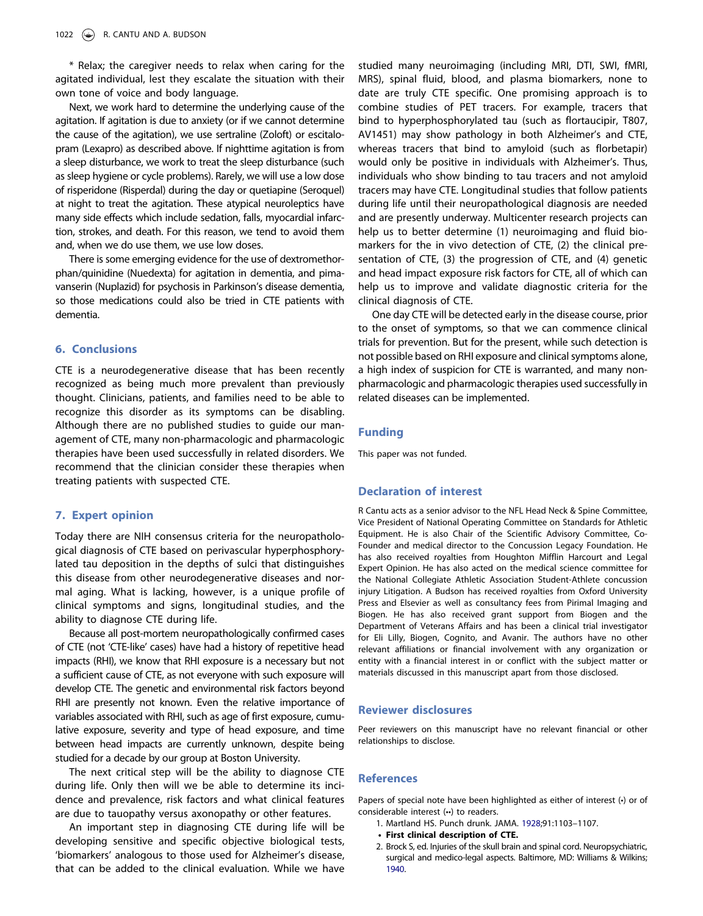\* Relax; the caregiver needs to relax when caring for the agitated individual, lest they escalate the situation with their own tone of voice and body language.

Next, we work hard to determine the underlying cause of the agitation. If agitation is due to anxiety (or if we cannot determine the cause of the agitation), we use sertraline (Zoloft) or escitalopram (Lexapro) as described above. If nighttime agitation is from a sleep disturbance, we work to treat the sleep disturbance (such as sleep hygiene or cycle problems). Rarely, we will use a low dose of risperidone (Risperdal) during the day or quetiapine (Seroquel) at night to treat the agitation. These atypical neuroleptics have many side effects which include sedation, falls, myocardial infarction, strokes, and death. For this reason, we tend to avoid them and, when we do use them, we use low doses.

There is some emerging evidence for the use of dextromethorphan/quinidine (Nuedexta) for agitation in dementia, and pimavanserin (Nuplazid) for psychosis in Parkinson's disease dementia, so those medications could also be tried in CTE patients with dementia.

#### 6. Conclusions

CTE is a neurodegenerative disease that has been recently recognized as being much more prevalent than previously thought. Clinicians, patients, and families need to be able to recognize this disorder as its symptoms can be disabling. Although there are no published studies to guide our management of CTE, many non-pharmacologic and pharmacologic therapies have been used successfully in related disorders. We recommend that the clinician consider these therapies when treating patients with suspected CTE.

#### 7. Expert opinion

Today there are NIH consensus criteria for the neuropathological diagnosis of CTE based on perivascular hyperphosphorylated tau deposition in the depths of sulci that distinguishes this disease from other neurodegenerative diseases and normal aging. What is lacking, however, is a unique profile of clinical symptoms and signs, longitudinal studies, and the ability to diagnose CTE during life.

Because all post-mortem neuropathologically confirmed cases of CTE (not 'CTE-like' cases) have had a history of repetitive head impacts (RHI), we know that RHI exposure is a necessary but not a sufficient cause of CTE, as not everyone with such exposure will develop CTE. The genetic and environmental risk factors beyond RHI are presently not known. Even the relative importance of variables associated with RHI, such as age of first exposure, cumulative exposure, severity and type of head exposure, and time between head impacts are currently unknown, despite being studied for a decade by our group at Boston University.

The next critical step will be the ability to diagnose CTE during life. Only then will we be able to determine its incidence and prevalence, risk factors and what clinical features are due to tauopathy versus axonopathy or other features.

An important step in diagnosing CTE during life will be developing sensitive and specific objective biological tests, 'biomarkers' analogous to those used for Alzheimer's disease, that can be added to the clinical evaluation. While we have

studied many neuroimaging (including MRI, DTI, SWI, fMRI, MRS), spinal fluid, blood, and plasma biomarkers, none to date are truly CTE specific. One promising approach is to combine studies of PET tracers. For example, tracers that bind to hyperphosphorylated tau (such as flortaucipir, T807, AV1451) may show pathology in both Alzheimer's and CTE, whereas tracers that bind to amyloid (such as florbetapir) would only be positive in individuals with Alzheimer's. Thus, individuals who show binding to tau tracers and not amyloid tracers may have CTE. Longitudinal studies that follow patients during life until their neuropathological diagnosis are needed and are presently underway. Multicenter research projects can help us to better determine (1) neuroimaging and fluid biomarkers for the in vivo detection of CTE, (2) the clinical presentation of CTE, (3) the progression of CTE, and (4) genetic and head impact exposure risk factors for CTE, all of which can help us to improve and validate diagnostic criteria for the clinical diagnosis of CTE.

One day CTE will be detected early in the disease course, prior to the onset of symptoms, so that we can commence clinical trials for prevention. But for the present, while such detection is not possible based on RHI exposure and clinical symptoms alone, a high index of suspicion for CTE is warranted, and many nonpharmacologic and pharmacologic therapies used successfully in related diseases can be implemented.

#### Funding

This paper was not funded.

#### Declaration of interest

R Cantu acts as a senior advisor to the NFL Head Neck & Spine Committee, Vice President of National Operating Committee on Standards for Athletic Equipment. He is also Chair of the Scientific Advisory Committee, Co-Founder and medical director to the Concussion Legacy Foundation. He has also received royalties from Houghton Mifflin Harcourt and Legal Expert Opinion. He has also acted on the medical science committee for the National Collegiate Athletic Association Student-Athlete concussion injury Litigation. A Budson has received royalties from Oxford University Press and Elsevier as well as consultancy fees from Pirimal Imaging and Biogen. He has also received grant support from Biogen and the Department of Veterans Affairs and has been a clinical trial investigator for Eli Lilly, Biogen, Cognito, and Avanir. The authors have no other relevant affiliations or financial involvement with any organization or entity with a financial interest in or conflict with the subject matter or materials discussed in this manuscript apart from those disclosed.

#### Reviewer disclosures

Peer reviewers on this manuscript have no relevant financial or other relationships to disclose.

#### References

Papers of special note have been highlighted as either of interest (•) or of considerable interest (••) to readers.

- <span id="page-7-0"></span>1. Martland HS. Punch drunk. JAMA. [1928;](#page-0-1)91:1103–1107.
- First clinical description of CTE.
- <span id="page-7-1"></span>2. Brock S, ed. Injuries of the skull brain and spinal cord. Neuropsychiatric, surgical and medico-legal aspects. Baltimore, MD: Williams & Wilkins; [1940](#page-1-0).